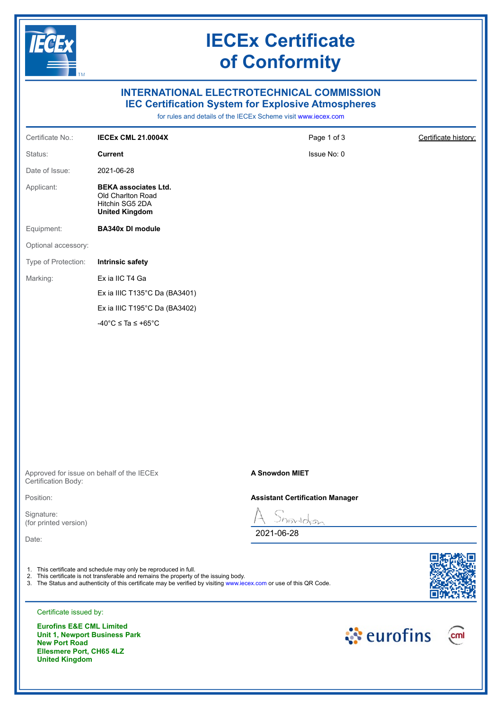

## **IECEx Certificate of Conformity**

## **INTERNATIONAL ELECTROTECHNICAL COMMISSION IEC Certification System for Explosive Atmospheres**

for rules and details of the IECEx Scheme visit [www.iecex.com](https://www.iecex.com)

| Certificate No.:                    | <b>IECEX CML 21.0004X</b>                                                                                                                                                                                                                                                         | Page 1 of 3                            | Certificate history: |
|-------------------------------------|-----------------------------------------------------------------------------------------------------------------------------------------------------------------------------------------------------------------------------------------------------------------------------------|----------------------------------------|----------------------|
| Status:                             | <b>Current</b>                                                                                                                                                                                                                                                                    | Issue No: 0                            |                      |
| Date of Issue:                      | 2021-06-28                                                                                                                                                                                                                                                                        |                                        |                      |
| Applicant:                          | <b>BEKA associates Ltd.</b><br>Old Charlton Road<br>Hitchin SG5 2DA<br><b>United Kingdom</b>                                                                                                                                                                                      |                                        |                      |
| Equipment:                          | <b>BA340x DI module</b>                                                                                                                                                                                                                                                           |                                        |                      |
| Optional accessory:                 |                                                                                                                                                                                                                                                                                   |                                        |                      |
| Type of Protection:                 | <b>Intrinsic safety</b>                                                                                                                                                                                                                                                           |                                        |                      |
| Marking:                            | Ex ia IIC T4 Ga                                                                                                                                                                                                                                                                   |                                        |                      |
|                                     | Ex ia IIIC T135°C Da (BA3401)                                                                                                                                                                                                                                                     |                                        |                      |
|                                     | Ex ia IIIC T195°C Da (BA3402)                                                                                                                                                                                                                                                     |                                        |                      |
|                                     | $-40^{\circ}$ C $\leq$ Ta $\leq$ +65 $^{\circ}$ C                                                                                                                                                                                                                                 |                                        |                      |
|                                     |                                                                                                                                                                                                                                                                                   |                                        |                      |
| Certification Body:                 | Approved for issue on behalf of the IECEx                                                                                                                                                                                                                                         | A Snowdon MIET                         |                      |
| Position:                           |                                                                                                                                                                                                                                                                                   | <b>Assistant Certification Manager</b> |                      |
| Signature:<br>(for printed version) |                                                                                                                                                                                                                                                                                   | nowldon                                |                      |
| Date:                               |                                                                                                                                                                                                                                                                                   | 2021-06-28                             |                      |
|                                     | 1. This certificate and schedule may only be reproduced in full.<br>2. This certificate is not transferable and remains the property of the issuing body.<br>3. The Status and authenticity of this certificate may be verified by visiting www.iecex.com or use of this QR Code. |                                        |                      |
| Certificate issued by:              |                                                                                                                                                                                                                                                                                   |                                        |                      |
| <b>Eurofine E&amp;E CML Limited</b> |                                                                                                                                                                                                                                                                                   |                                        |                      |

**Eurofins E&E CML Limited Unit 1, Newport Business Park New Port Road Ellesmere Port, CH65 4LZ United Kingdom**

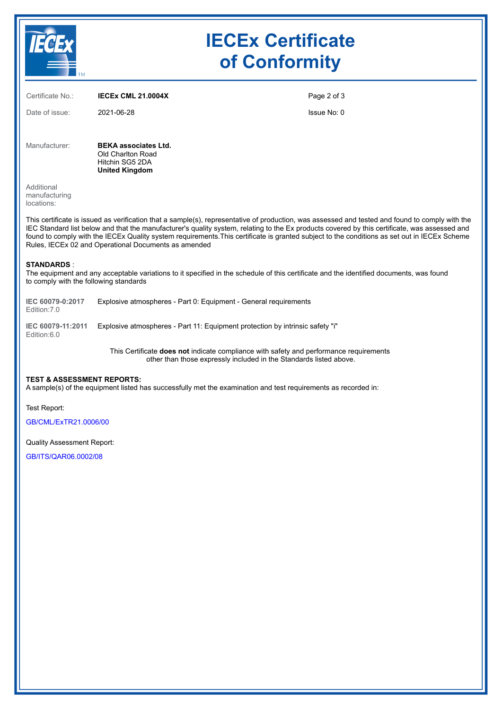|                                                                                                                                                                                                                                                                                                                                                                                                                                                                                                          |                                                                                              | <b>IECEx Certificate</b><br>of Conformity |  |  |
|----------------------------------------------------------------------------------------------------------------------------------------------------------------------------------------------------------------------------------------------------------------------------------------------------------------------------------------------------------------------------------------------------------------------------------------------------------------------------------------------------------|----------------------------------------------------------------------------------------------|-------------------------------------------|--|--|
| Certificate No.:                                                                                                                                                                                                                                                                                                                                                                                                                                                                                         | <b>IECEX CML 21.0004X</b>                                                                    | Page 2 of 3                               |  |  |
| Date of issue:                                                                                                                                                                                                                                                                                                                                                                                                                                                                                           | 2021-06-28                                                                                   | Issue No: 0                               |  |  |
| Manufacturer:                                                                                                                                                                                                                                                                                                                                                                                                                                                                                            | <b>BEKA associates Ltd.</b><br>Old Charlton Road<br>Hitchin SG5 2DA<br><b>United Kingdom</b> |                                           |  |  |
| Additional<br>manufacturing<br>locations:                                                                                                                                                                                                                                                                                                                                                                                                                                                                |                                                                                              |                                           |  |  |
| This certificate is issued as verification that a sample(s), representative of production, was assessed and tested and found to comply with the<br>IEC Standard list below and that the manufacturer's quality system, relating to the Ex products covered by this certificate, was assessed and<br>found to comply with the IECEx Quality system requirements. This certificate is granted subject to the conditions as set out in IECEx Scheme<br>Rules, IECEx 02 and Operational Documents as amended |                                                                                              |                                           |  |  |

#### **STANDARDS** :

The equipment and any acceptable variations to it specified in the schedule of this certificate and the identified documents, was found to comply with the following standards

| IEC 60079-0:2017 | Explosive atmospheres - Part 0: Equipment - General requirements |  |  |
|------------------|------------------------------------------------------------------|--|--|
| Edition: 7.0     |                                                                  |  |  |

**IEC 60079-11:2011** Explosive atmospheres - Part 11: Equipment protection by intrinsic safety "i" Edition:6.0

> This Certificate **does not** indicate compliance with safety and performance requirements other than those expressly included in the Standards listed above.

#### **TEST & ASSESSMENT REPORTS:**

A sample(s) of the equipment listed has successfully met the examination and test requirements as recorded in:

Test Report:

[GB/CML/ExTR21.0006/00](https://www.iecex-certs.com/deliverables/REPORT/70682/view)

Quality Assessment Report:

[GB/ITS/QAR06.0002/08](https://www.iecex-certs.com/deliverables/REPORT/72203/view)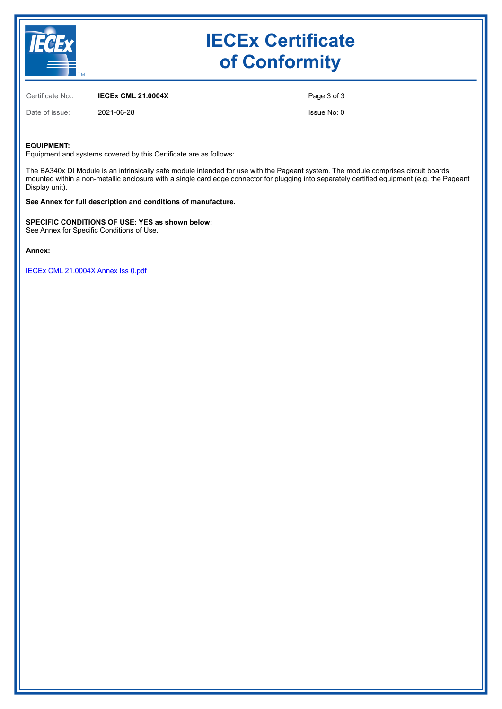

# **IECEx Certificate of Conformity**

Certificate No.: **IECEx CML 21.0004X**

Date of issue: 2021-06-28

Page 3 of 3

Issue No: 0

#### **EQUIPMENT:**

Equipment and systems covered by this Certificate are as follows:

The BA340x DI Module is an intrinsically safe module intended for use with the Pageant system. The module comprises circuit boards mounted within a non-metallic enclosure with a single card edge connector for plugging into separately certified equipment (e.g. the Pageant Display unit).

**See Annex for full description and conditions of manufacture.**

**SPECIFIC CONDITIONS OF USE: YES as shown below:**

See Annex for Specific Conditions of Use.

**Annex:**

[IECEx CML 21.0004X Annex Iss 0.pdf](https://www.iecex-certs.com/deliverables/CERT/51989/view)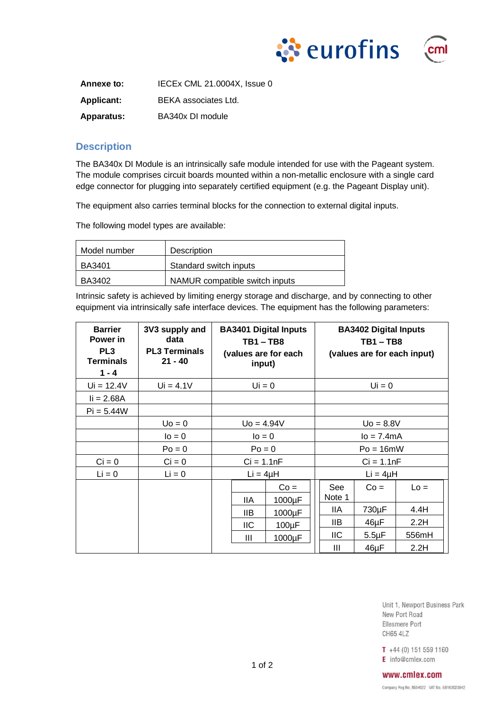



Annexe to: **IECEX CML 21.0004X, Issue 0 Applicant:** BEKA associates Ltd. **Apparatus:** BA340x DI module

### **Description**

The BA340x DI Module is an intrinsically safe module intended for use with the Pageant system. The module comprises circuit boards mounted within a non-metallic enclosure with a single card edge connector for plugging into separately certified equipment (e.g. the Pageant Display unit).

The equipment also carries terminal blocks for the connection to external digital inputs.

The following model types are available:

| Model number | Description                    |  |  |  |  |
|--------------|--------------------------------|--|--|--|--|
| BA3401       | Standard switch inputs         |  |  |  |  |
| BA3402       | NAMUR compatible switch inputs |  |  |  |  |

Intrinsic safety is achieved by limiting energy storage and discharge, and by connecting to other equipment via intrinsically safe interface devices. The equipment has the following parameters:

| <b>Barrier</b><br>Power in<br>PL <sub>3</sub><br><b>Terminals</b><br>$1 - 4$ | 3V3 supply and<br>data<br><b>PL3 Terminals</b><br>$21 - 40$ | <b>BA3401 Digital Inputs</b><br>TB1 – TB8<br>(values are for each<br>input) |      | <b>BA3402 Digital Inputs</b><br>$TB1 - TB8$<br>(values are for each input) |                |             |        |
|------------------------------------------------------------------------------|-------------------------------------------------------------|-----------------------------------------------------------------------------|------|----------------------------------------------------------------------------|----------------|-------------|--------|
| $Ui = 12.4V$                                                                 | $Ui = 4.1V$                                                 | $Ui = 0$                                                                    |      | $Ui = 0$                                                                   |                |             |        |
| $i = 2.68A$                                                                  |                                                             |                                                                             |      |                                                                            |                |             |        |
| $Pi = 5.44W$                                                                 |                                                             |                                                                             |      |                                                                            |                |             |        |
|                                                                              | $U0 = 0$                                                    | $U_0 = 4.94V$                                                               |      | $U_0 = 8.8V$                                                               |                |             |        |
|                                                                              | $I = 0$                                                     | $I = 0$                                                                     |      | $Io = 7.4mA$                                                               |                |             |        |
|                                                                              | $Po = 0$                                                    | $Po = 0$                                                                    |      | $Po = 16mW$                                                                |                |             |        |
| $Ci = 0$                                                                     | $Ci = 0$                                                    | $Ci = 1.1nF$                                                                |      | $Ci = 1.1nF$                                                               |                |             |        |
| $Li = 0$                                                                     | $Li = 0$                                                    | $Li = 4\mu H$                                                               |      | $Li = 4\mu H$                                                              |                |             |        |
|                                                                              |                                                             |                                                                             |      | $Co =$                                                                     | See<br>Note 1  | $Co =$      | $Lo =$ |
|                                                                              |                                                             |                                                                             | IIA  | 1000µF                                                                     | 11A            | 730µF       | 4.4H   |
|                                                                              |                                                             |                                                                             | IIB. | 1000µF                                                                     | IIВ            | 46µF        | 2.2H   |
|                                                                              |                                                             |                                                                             | ШC   | $100\mu F$                                                                 | IIC            | $5.5 \mu F$ | 556mH  |
|                                                                              |                                                             |                                                                             | Ш    | 1000µF                                                                     | $\mathbf{III}$ | 46µF        | 2.2H   |

Unit 1, Newport Business Park New Port Road Ellesmere Port CH65 4LZ

T +44 (0) 151 559 1160 E info@cmlex.com

#### www.cmlex.com

Company Reg No. 8554022 VAT No. GB163023642